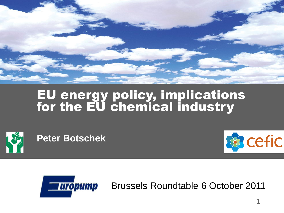

## EU energy policy, implications for the EU chemical industry



**Peter Botschek**





Brussels Roundtable 6 October 2011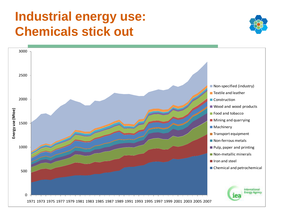## **Industrial energy use: Chemicals stick out**



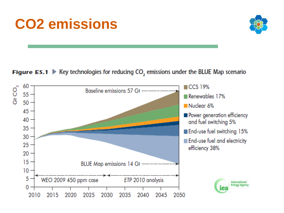# **CO2 emissions**



#### **Figure ES.1**  $\blacktriangleright$  Key technologies for reducing CO<sub>2</sub> emissions under the BLUE Map scenario

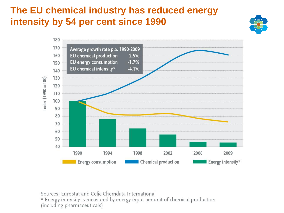## **The EU chemical industry has reduced energy intensity by 54 per cent since 1990**





Sources: Eurostat and Cefic Chemdata International

\* Energy intensity is measured by energy input per unit of chemical production (including pharmaceuticals)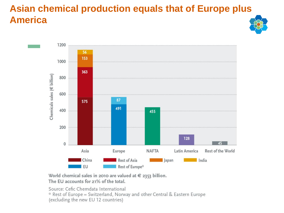## **Asian chemical production equals that of Europe plus America**



World chemical sales in 2010 are valued at  $\epsilon$  2353 billion. The EU accounts for 21% of the total.

Source: Cefic Chemdata International \* Rest of Europe = Switzerland, Norway and other Central & Eastern Europe (excluding the new EU 12 countries)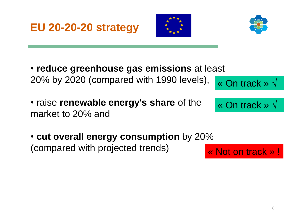





- **reduce greenhouse gas emissions** at least 20% by 2020 (compared with 1990 levels), « On track » √
- raise **renewable energy's share** of the market to 20% and

« On track » √

• **cut overall energy consumption** by 20% (compared with projected trends)

« Not on track » !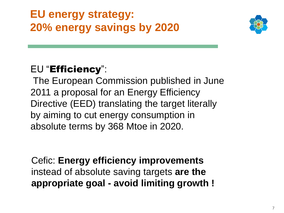## **EU energy strategy: 20% energy savings by 2020**



## EU "Efficiency":

The European Commission published in June 2011 a proposal for an Energy Efficiency Directive (EED) translating the target literally by aiming to cut energy consumption in absolute terms by 368 Mtoe in 2020.

Cefic: **Energy efficiency improvements**  instead of absolute saving targets **are the appropriate goal - avoid limiting growth !**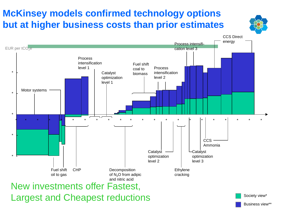## **McKinsey models confirmed technology options but at higher business costs than prior estimates**

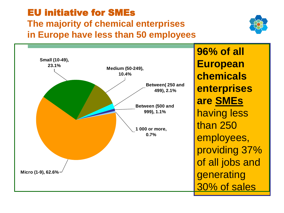# EU initiative for SMEs

**The majority of chemical enterprises in Europe have less than 50 employees**





**96% of all European chemicals enterprises are SMEs** having less than 250 employees, providing 37% of all jobs and generating 30% of sales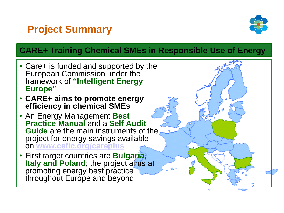## **Project Summary**



#### **CARE+ Training Chemical SMEs in Responsible Use of Energy**

- Care+ is funded and supported by the European Commission under the framework of **"Intelligent Energy Europe"**
- **CARE+ aims to promote energy efficiency in chemical SMEs**
- An Energy Management **Best Practice Manual** and a **Self Audit Guide** are the main instruments of the project for energy savings available on **[www.cefic.org/careplus](http://www.cefic.org/careplus)**
- First target countries are **Bulgaria, Italy and Poland**; the project aims at promoting energy best practice throughout Europe and beyond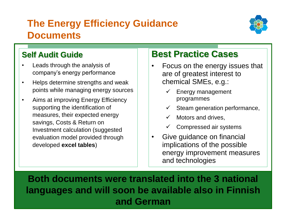## **The Energy Efficiency Guidance Documents**



#### **Self Audit Guide**

 $\overline{1}$ 

- Leads through the analysis of company's energy performance
- Helps determine strengths and weak points while managing energy sources
- Aims at improving Energy Efficiency supporting the identification of measures, their expected energy savings, Costs & Return on Investment calculation (suggested evaluation model provided through developed **excel tables**)

### **Best Practice Cases**

- Focus on the energy issues that are of greatest interest to chemical SMEs, e.g.:
	- Energy management programmes
	- Steam generation performance,
	- Motors and drives,
	- Compressed air systems
- Give guidance on financial implications of the possible energy improvement measures and technologies

**Both documents were translated into the 3 national languages and will soon be available also in Finnish and German**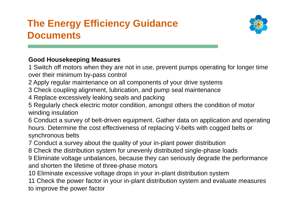## **The Energy Efficiency Guidance Documents**



#### **Good Housekeeping Measures**

1 Switch off motors when they are not in use, prevent pumps operating for longer time over their minimum by-pass control

2 Apply regular maintenance on all components of your drive systems

3 Check coupling alignment, lubrication, and pump seal maintenance

4 Replace excessively leaking seals and packing

5 Regularly check electric motor condition, amongst others the condition of motor winding insulation

6 Conduct a survey of belt-driven equipment. Gather data on application and operating hours. Determine the cost effectiveness of replacing V-belts with cogged belts or synchronous belts

7 Conduct a survey about the quality of your in-plant power distribution

8 Check the distribution system for unevenly distributed single-phase loads

9 Eliminate voltage unbalances, because they can seriously degrade the performance and shorten the lifetime of three-phase motors

10 Eliminate excessive voltage drops in your in-plant distribution system

11 Check the power factor in your in-plant distribution system and evaluate measures to improve the power factor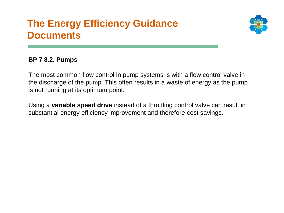## **The Energy Efficiency Guidance Documents**



#### **BP 7 8.2. Pumps**

The most common flow control in pump systems is with a flow control valve in the discharge of the pump. This often results in a waste of energy as the pump is not running at its optimum point.

Using a **variable speed drive** instead of a throttling control valve can result in substantial energy efficiency improvement and therefore cost savings.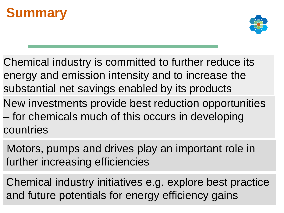## **Summary**



- Chemical industry is committed to further reduce its energy and emission intensity and to increase the substantial net savings enabled by its products
- New investments provide best reduction opportunities – for chemicals much of this occurs in developing countries
- Motors, pumps and drives play an important role in further increasing efficiencies
- Chemical industry initiatives e.g. explore best practice and future potentials for energy efficiency gains